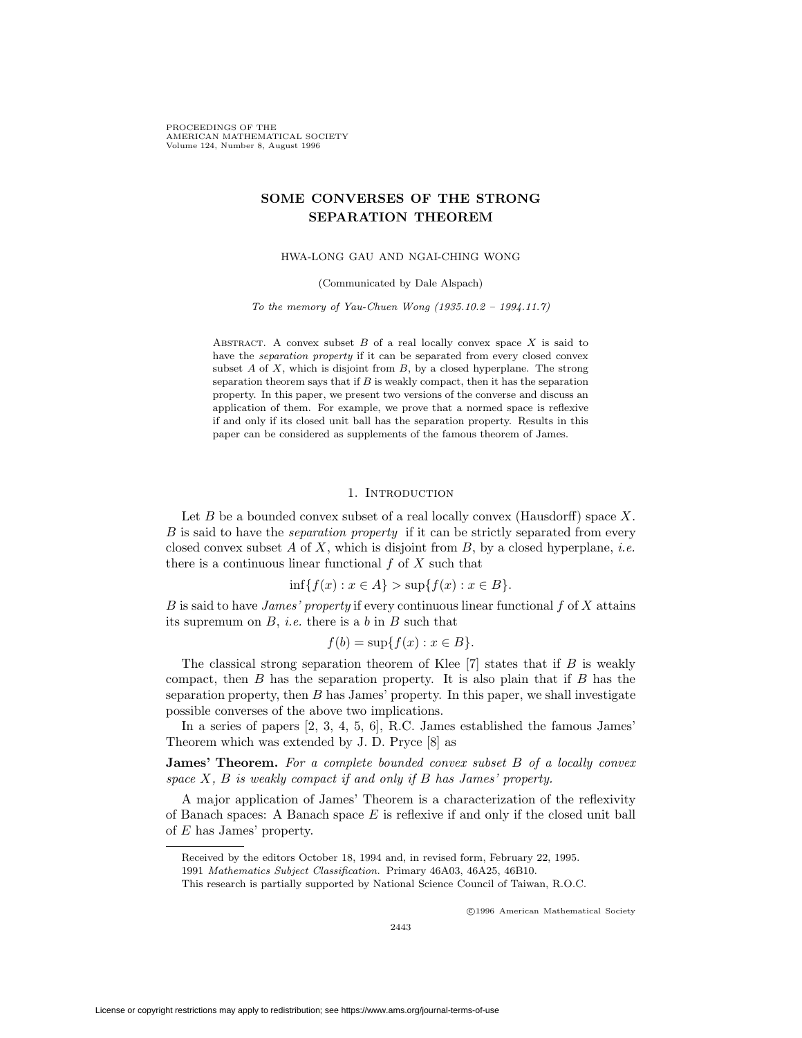PROCEEDINGS OF THE AMERICAN MATHEMATICAL SOCIETY Volume 124, Number 8, August 1996

# **SOME CONVERSES OF THE STRONG SEPARATION THEOREM**

HWA-LONG GAU AND NGAI-CHING WONG

(Communicated by Dale Alspach)

To the memory of Yau-Chuen Wong  $(1935.10.2 - 1994.11.7)$ 

ABSTRACT. A convex subset  $B$  of a real locally convex space  $X$  is said to have the *separation property* if it can be separated from every closed convex subset  $A$  of  $X$ , which is disjoint from  $B$ , by a closed hyperplane. The strong separation theorem says that if  $B$  is weakly compact, then it has the separation property. In this paper, we present two versions of the converse and discuss an application of them. For example, we prove that a normed space is reflexive if and only if its closed unit ball has the separation property. Results in this paper can be considered as supplements of the famous theorem of James.

#### 1. INTRODUCTION

Let  $B$  be a bounded convex subset of a real locally convex (Hausdorff) space  $X$ . B is said to have the separation property if it can be strictly separated from every closed convex subset  $A$  of  $X$ , which is disjoint from  $B$ , by a closed hyperplane, *i.e.* there is a continuous linear functional  $f$  of  $X$  such that

$$
\inf\{f(x) : x \in A\} > \sup\{f(x) : x \in B\}.
$$

B is said to have *James' property* if every continuous linear functional  $f$  of  $X$  attains its supremum on  $B$ , *i.e.* there is a b in  $B$  such that

$$
f(b) = \sup\{f(x) : x \in B\}.
$$

The classical strong separation theorem of Klee  $[7]$  states that if B is weakly compact, then  $B$  has the separation property. It is also plain that if  $B$  has the separation property, then  $B$  has James' property. In this paper, we shall investigate possible converses of the above two implications.

In a series of papers [2, 3, 4, 5, 6], R.C. James established the famous James' Theorem which was extended by J. D. Pryce [8] as

**James' Theorem.** For a complete bounded convex subset B of a locally convex space  $X$ ,  $B$  is weakly compact if and only if  $B$  has James' property.

A major application of James' Theorem is a characterization of the reflexivity of Banach spaces: A Banach space  $E$  is reflexive if and only if the closed unit ball of E has James' property.

c 1996 American Mathematical Society

Received by the editors October 18, 1994 and, in revised form, February 22, 1995.

<sup>1991</sup> Mathematics Subject Classification. Primary 46A03, 46A25, 46B10.

This research is partially supported by National Science Council of Taiwan, R.O.C.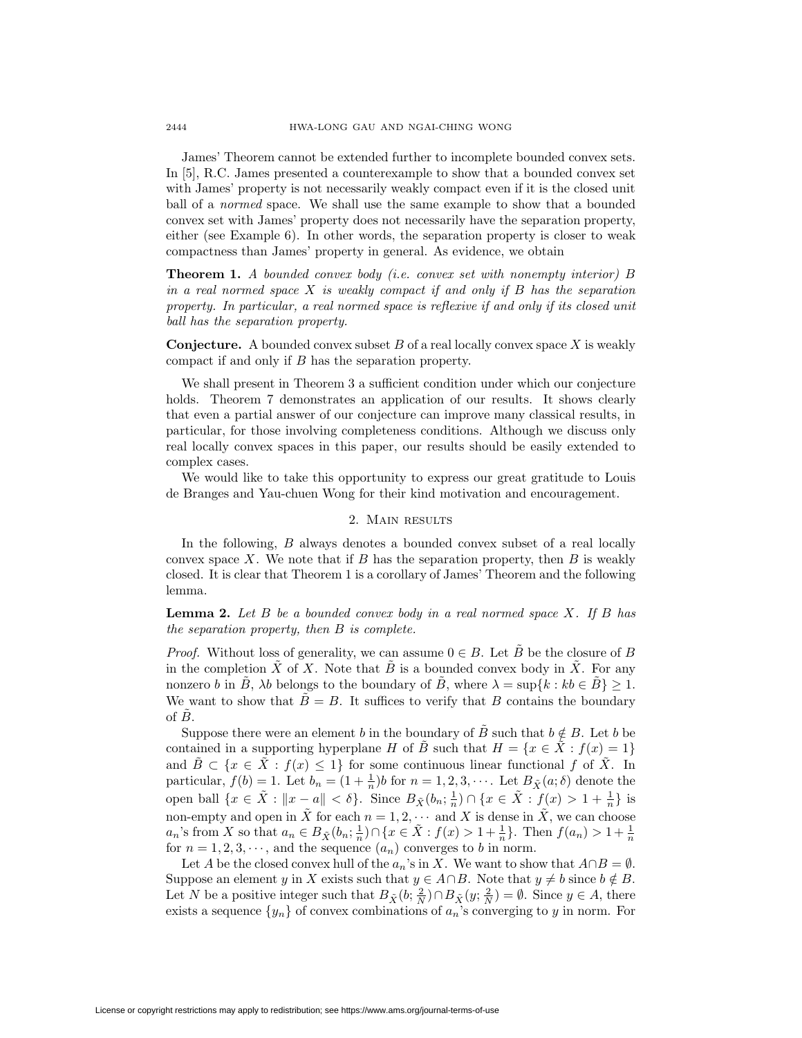James' Theorem cannot be extended further to incomplete bounded convex sets. In [5], R.C. James presented a counterexample to show that a bounded convex set with James' property is not necessarily weakly compact even if it is the closed unit ball of a normed space. We shall use the same example to show that a bounded convex set with James' property does not necessarily have the separation property, either (see Example 6). In other words, the separation property is closer to weak compactness than James' property in general. As evidence, we obtain

**Theorem 1.** A bounded convex body (i.e. convex set with nonempty interior) B in a real normed space  $X$  is weakly compact if and only if  $B$  has the separation property. In particular, a real normed space is reflexive if and only if its closed unit ball has the separation property.

**Conjecture.** A bounded convex subset  $B$  of a real locally convex space  $X$  is weakly compact if and only if B has the separation property.

We shall present in Theorem 3 a sufficient condition under which our conjecture holds. Theorem 7 demonstrates an application of our results. It shows clearly that even a partial answer of our conjecture can improve many classical results, in particular, for those involving completeness conditions. Although we discuss only real locally convex spaces in this paper, our results should be easily extended to complex cases.

We would like to take this opportunity to express our great gratitude to Louis de Branges and Yau-chuen Wong for their kind motivation and encouragement.

### 2. Main results

In the following, B always denotes a bounded convex subset of a real locally convex space X. We note that if B has the separation property, then B is weakly closed. It is clear that Theorem 1 is a corollary of James' Theorem and the following lemma.

**Lemma 2.** Let B be a bounded convex body in a real normed space X. If B has the separation property, then B is complete.

*Proof.* Without loss of generality, we can assume  $0 \in B$ . Let B be the closure of B in the completion  $\tilde{X}$  of X. Note that  $\tilde{B}$  is a bounded convex body in  $\tilde{X}$ . For any nonzero b in B,  $\lambda b$  belongs to the boundary of B, where  $\lambda = \sup\{k : kb \in B\} \geq 1$ . We want to show that  $\tilde{B} = B$ . It suffices to verify that B contains the boundary of  $B$ .

Suppose there were an element b in the boundary of  $\tilde{B}$  such that  $b \notin B$ . Let b be contained in a supporting hyperplane H of  $\tilde{B}$  such that  $H = \{x \in \tilde{X} : f(x) = 1\}$ and  $\tilde{B} \subset \{x \in \tilde{X} : f(x) \leq 1\}$  for some continuous linear functional f of  $\tilde{X}$ . In particular,  $f(b) = 1$ . Let  $b_n = (1 + \frac{1}{n})b$  for  $n = 1, 2, 3, \cdots$ . Let  $B_{\tilde{X}}(a; \delta)$  denote the open ball  $\{x \in \tilde{X} : ||x - a|| < \delta\}$ . Since  $B_{\tilde{X}}(b_n; \frac{1}{n}) \cap \{x \in \tilde{X} : f(x) > 1 + \frac{1}{n}\}\$ is non-empty and open in  $\tilde{X}$  for each  $n = 1, 2, \cdots$  and X is dense in  $\tilde{X}$ , we can choose  $a_n$ 's from X so that  $a_n \in B_{\tilde{X}}(b_n; \frac{1}{n}) \cap \{x \in \tilde{X} : f(x) > 1 + \frac{1}{n}\}\)$ . Then  $f(a_n) > 1 + \frac{1}{n}$ for  $n = 1, 2, 3, \dots$ , and the sequence  $(a_n)$  converges to b in norm.

Let A be the closed convex hull of the  $a_n$ 's in X. We want to show that  $A \cap B = \emptyset$ . Suppose an element y in X exists such that  $y \in A \cap B$ . Note that  $y \neq b$  since  $b \notin B$ . Let N be a positive integer such that  $B_{\tilde{X}}(b; \frac{2}{N}) \cap B_{\tilde{X}}(y; \frac{2}{N}) = \emptyset$ . Since  $y \in A$ , there exists a sequence  $\{y_n\}$  of convex combinations of  $a_n$ 's converging to y in norm. For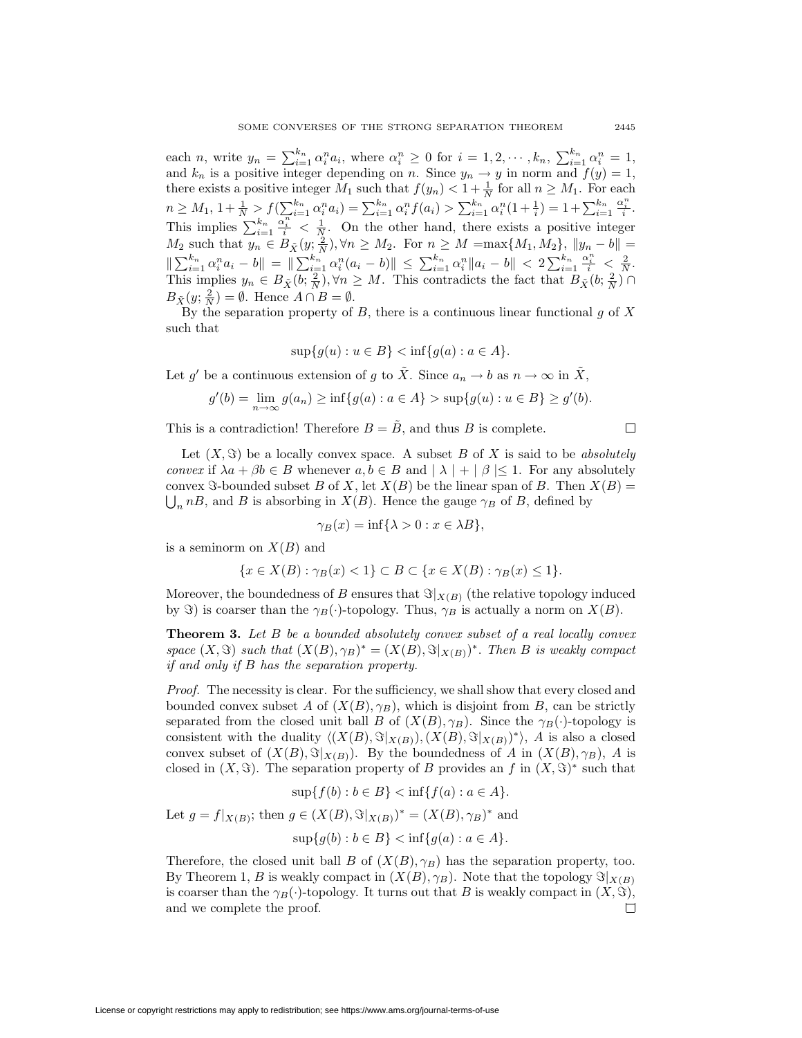each n, write  $y_n = \sum_{i=1}^{k_n} \alpha_i^n a_i$ , where  $\alpha_i^n \geq 0$  for  $i = 1, 2, \dots, k_n$ ,  $\sum_{i=1}^{k_n} \alpha_i^n = 1$ , and  $k_n$  is a positive integer depending on n. Since  $y_n \to y$  in norm and  $f(y) = 1$ , there exists a positive integer  $M_1$  such that  $f(y_n) < 1 + \frac{1}{N}$  for all  $n \ge M_1$ . For each  $n \geq M_1, 1 + \frac{1}{N} > f\left(\sum_{i=1}^{k_n} \alpha_i^n a_i\right) = \sum_{i=1}^{k_n} \alpha_i^n f(a_i) > \sum_{i=1}^{k_n} \alpha_i^n (1 + \frac{1}{i}) = 1 + \sum_{i=1}^{k_n}$  $\frac{\alpha_i^n}{i}$ . This implies  $\sum_{i=1}^{k_n}$  $\frac{\alpha_i^n}{i} < \frac{1}{N}$ . On the other hand, there exists a positive integer  $M_2$  such that  $y_n \in B_{\tilde{X}}(y; \frac{2}{N}), \forall n \geq M_2$ . For  $n \geq M = \max\{M_1, M_2\}, ||y_n - b|| =$  $\|\sum_{i=1}^{k_n} \alpha_i^n a_i - b\| = \|\sum_{i=1}^{k_n} \alpha_i^n (a_i - b)\| \le \sum_{i=1}^{k_n} \alpha_i^n \|a_i - b\| < 2\sum_{i=1}^{k_n}$  $\frac{\alpha_i^n}{i} \leq \frac{2}{N}.$ This implies  $y_n \in B_{\tilde{X}}(b; \frac{2}{N}), \forall n \geq M$ . This contradicts the fact that  $B_{\tilde{X}}(b; \frac{2}{N})$  $B_{\tilde{X}}(y; \frac{2}{N}) = \emptyset$ . Hence  $A \cap B = \emptyset$ .

By the separation property of  $B$ , there is a continuous linear functional  $g$  of  $X$ such that

$$
\sup\{g(u):u\in B\} < \inf\{g(a):a\in A\}.
$$

Let g' be a continuous extension of g to  $\tilde{X}$ . Since  $a_n \to b$  as  $n \to \infty$  in  $\tilde{X}$ ,

$$
g'(b) = \lim_{n \to \infty} g(a_n) \ge \inf\{g(a) : a \in A\} > \sup\{g(u) : u \in B\} \ge g'(b).
$$

This is a contradiction! Therefore  $B = \tilde{B}$ , and thus B is complete.

Let  $(X, \Im)$  be a locally convex space. A subset B of X is said to be absolutely convex if  $\lambda a + \beta b \in B$  whenever  $a, b \in B$  and  $|\lambda| + |\beta| \leq 1$ . For any absolutely convex  $\Im$ -bounded subset B of X, let  $X(B)$  be the linear span of B. Then  $X(B)$  =  $\bigcup_n nB$ , and B is absorbing in  $X(B)$ . Hence the gauge  $\gamma_B$  of B, defined by

$$
\gamma_B(x) = \inf\{\lambda > 0 : x \in \lambda B\},\
$$

is a seminorm on  $X(B)$  and

$$
\{x \in X(B) : \gamma_B(x) < 1\} \subset B \subset \{x \in X(B) : \gamma_B(x) \le 1\}.
$$

Moreover, the boundedness of B ensures that  $\Im|_{X(B)}$  (the relative topology induced by  $\Im$ ) is coarser than the  $\gamma_B(\cdot)$ -topology. Thus,  $\gamma_B$  is actually a norm on  $X(B)$ .

**Theorem 3.** Let B be a bounded absolutely convex subset of a real locally convex space  $(X, \Im)$  such that  $(X(B), \gamma_B)^* = (X(B), \Im|_{X(B)})^*$ . Then B is weakly compact if and only if B has the separation property.

Proof. The necessity is clear. For the sufficiency, we shall show that every closed and bounded convex subset A of  $(X(B), \gamma_B)$ , which is disjoint from B, can be strictly separated from the closed unit ball B of  $(X(B), \gamma_B)$ . Since the  $\gamma_B(\cdot)$ -topology is consistent with the duality  $\langle (X(B), \Im |_{X(B)}), (X(B), \Im |_{X(B)})^* \rangle$ , A is also a closed convex subset of  $(X(B), \Im|_{X(B)})$ . By the boundedness of A in  $(X(B), \gamma_B)$ , A is closed in  $(X, \Im)$ . The separation property of B provides an f in  $(X, \Im)^*$  such that

$$
\sup\{f(b) : b \in B\} < \inf\{f(a) : a \in A\}.
$$

Let  $g = f|_{X(B)}$ ; then  $g \in (X(B), \Im|_{X(B)})^* = (X(B), \gamma_B)^*$  and

$$
\sup\{g(b) : b \in B\} < \inf\{g(a) : a \in A\}.
$$

Therefore, the closed unit ball B of  $(X(B), \gamma_B)$  has the separation property, too. By Theorem 1, B is weakly compact in  $(X(B), \gamma_B)$ . Note that the topology  $\Im(x)$ is coarser than the  $\gamma_B(\cdot)$ -topology. It turns out that B is weakly compact in  $(X, \Im),$ and we complete the proof. □

 $\Box$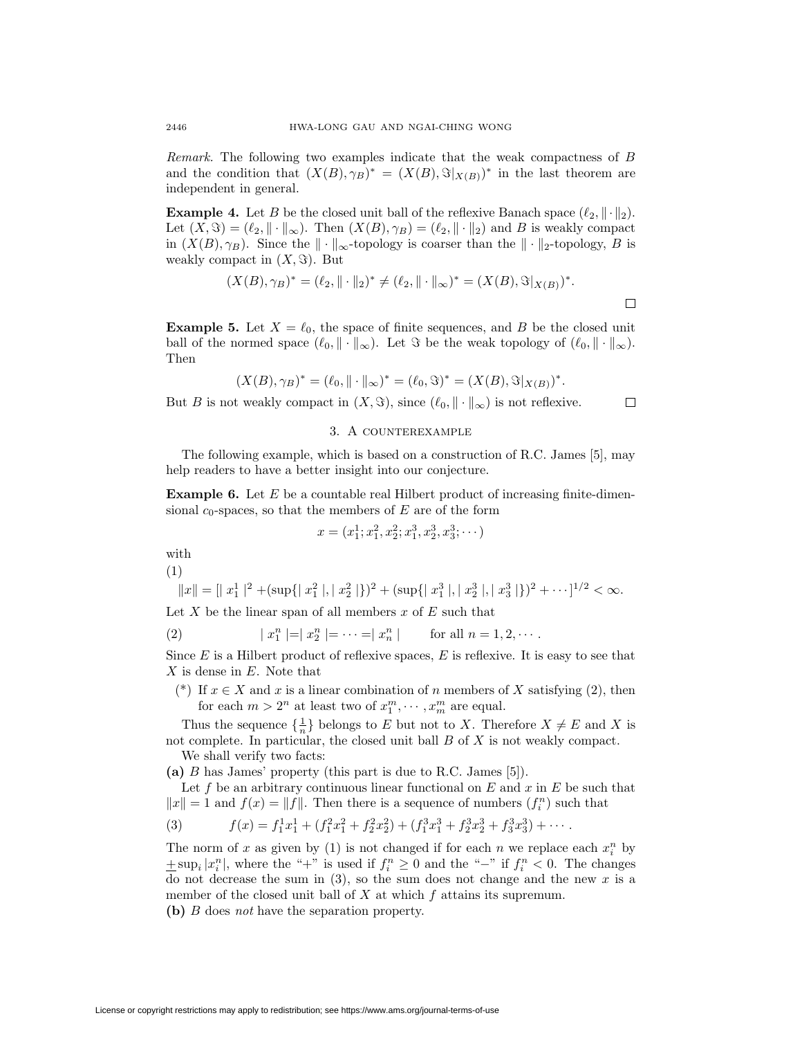Remark. The following two examples indicate that the weak compactness of B and the condition that  $(X(B), \gamma_B)^* = (X(B), \Im|_{X(B)})^*$  in the last theorem are independent in general.

**Example 4.** Let B be the closed unit ball of the reflexive Banach space  $(\ell_2, \|\cdot\|_2)$ . Let  $(X, \Im) = (\ell_2, \| \cdot \|_{\infty})$ . Then  $(X(B), \gamma_B) = (\ell_2, \| \cdot \|_2)$  and B is weakly compact in  $(X(B), \gamma_B)$ . Since the  $\|\cdot\|_{\infty}$ -topology is coarser than the  $\|\cdot\|_2$ -topology, B is weakly compact in  $(X, \Im)$ . But

$$
(X(B), \gamma_B)^* = (\ell_2, \|\cdot\|_2)^* \neq (\ell_2, \|\cdot\|_{\infty})^* = (X(B), \Im|_{X(B)})^*.
$$

 $\Box$ 

**Example 5.** Let  $X = \ell_0$ , the space of finite sequences, and B be the closed unit ball of the normed space  $(\ell_0, \|\cdot\|_{\infty})$ . Let  $\Im$  be the weak topology of  $(\ell_0, \|\cdot\|_{\infty})$ . Then

$$
(X(B), \gamma_B)^* = (\ell_0, \|\cdot\|_{\infty})^* = (\ell_0, \Im)^* = (X(B), \Im|_{X(B)})^*.
$$

But B is not weakly compact in  $(X, \Im)$ , since  $(\ell_0, \|\cdot\|_{\infty})$  is not reflexive.

### 3. A counterexample

The following example, which is based on a construction of R.C. James [5], may help readers to have a better insight into our conjecture.

**Example 6.** Let E be a countable real Hilbert product of increasing finite-dimensional  $c_0$ -spaces, so that the members of E are of the form

$$
x = (x_1^1; x_1^2, x_2^2; x_1^3, x_2^3, x_3^3; \cdots)
$$

with

(1)

$$
||x|| = [|x_1^1|^2 + (\sup\{|x_1^2|, |x_2^2|\})^2 + (\sup\{|x_1^3|, |x_2^3|, |x_3^3|\})^2 + \cdots]^{1/2} < \infty.
$$

Let X be the linear span of all members  $x$  of  $E$  such that

(2) 
$$
|x_1^n| = |x_2^n| = \cdots = |x_n^n|
$$
 for all  $n = 1, 2, \cdots$ .

Since  $E$  is a Hilbert product of reflexive spaces,  $E$  is reflexive. It is easy to see that  $X$  is dense in  $E$ . Note that

(\*) If  $x \in X$  and x is a linear combination of n members of X satisfying (2), then for each  $m > 2^n$  at least two of  $x_1^m, \dots, x_m^m$  are equal.

Thus the sequence  $\{\frac{1}{n}\}$  belongs to E but not to X. Therefore  $X \neq E$  and X is not complete. In particular, the closed unit ball  $B$  of  $X$  is not weakly compact. We shall verify two facts:

**(a)** B has James' property (this part is due to R.C. James [5]).

Let f be an arbitrary continuous linear functional on  $E$  and  $x$  in  $E$  be such that  $||x|| = 1$  and  $f(x) = ||f||$ . Then there is a sequence of numbers  $(f_i^n)$  such that

(3) 
$$
f(x) = f_1^1 x_1^1 + (f_1^2 x_1^2 + f_2^2 x_2^2) + (f_1^3 x_1^3 + f_2^3 x_2^3 + f_3^3 x_3^3) + \cdots
$$

The norm of x as given by (1) is not changed if for each  $n$  we replace each  $x_i^n$  by  $\pm \sup_i |x_i^n|$ , where the "+" is used if  $f_i^n \geq 0$  and the "-" if  $f_i^n < 0$ . The changes do not decrease the sum in  $(3)$ , so the sum does not change and the new x is a member of the closed unit ball of  $X$  at which  $f$  attains its supremum.

**(b)** B does not have the separation property.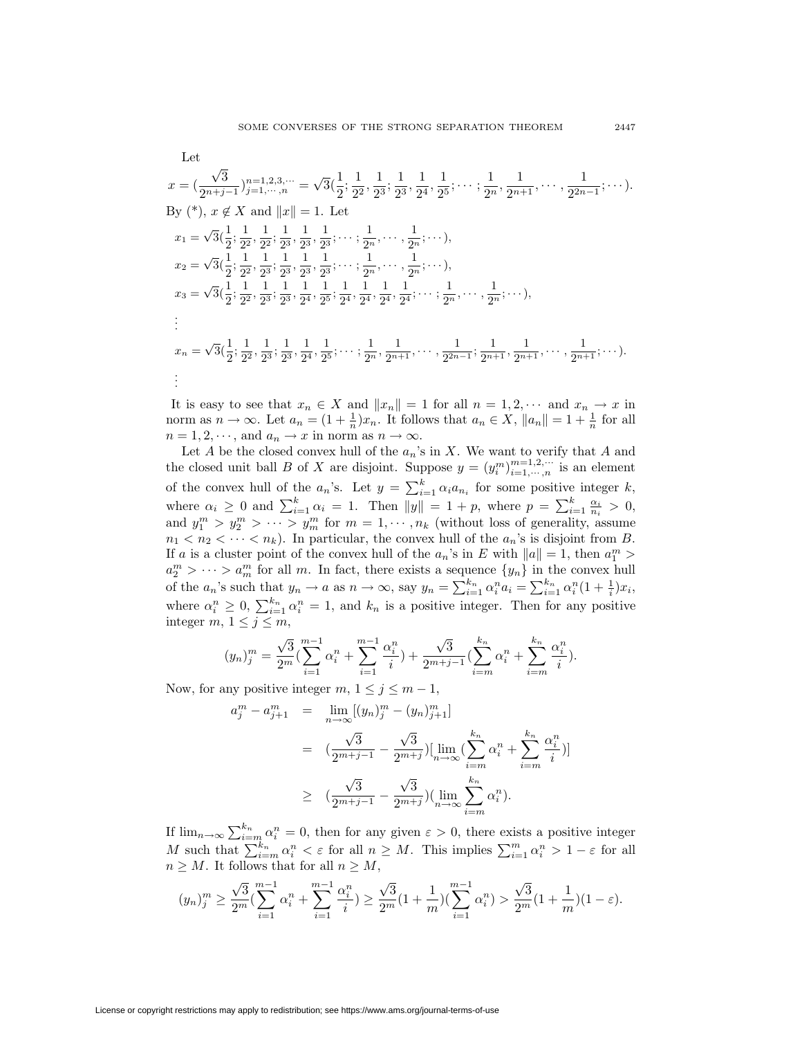$$
x = (\frac{\sqrt{3}}{2^{n+j-1}})^{n=1,2,3,\dots} = \sqrt{3}(\frac{1}{2}; \frac{1}{2^2}, \frac{1}{2^3}, \frac{1}{2^4}, \frac{1}{2^5}; \dots; \frac{1}{2^n}, \frac{1}{2^{n+1}}, \dots, \frac{1}{2^{2n-1}}; \dots).
$$
  
By (\*),  $x \notin X$  and  $||x|| = 1$ . Let  

$$
x_1 = \sqrt{3}(\frac{1}{2}; \frac{1}{2^2}, \frac{1}{2^2}; \frac{1}{2^3}, \frac{1}{2^3}, \frac{1}{2^3}; \dots; \frac{1}{2^n}, \dots, \frac{1}{2^n}; \dots),
$$

$$
x_2 = \sqrt{3}(\frac{1}{2}; \frac{1}{2^2}, \frac{1}{2^3}; \frac{1}{2^3}, \frac{1}{2^3}, \frac{1}{2^3}; \dots; \frac{1}{2^n}, \dots, \frac{1}{2^n}; \dots),
$$

$$
x_3 = \sqrt{3}(\frac{1}{2}; \frac{1}{2^2}, \frac{1}{2^3}; \frac{1}{2^3}, \frac{1}{2^4}, \frac{1}{2^5}; \frac{1}{2^4}, \frac{1}{2^4}, \frac{1}{2^4}, \frac{1}{2^4}; \dots; \frac{1}{2^n}, \dots, \frac{1}{2^n}; \dots),
$$

$$
\vdots
$$

$$
x_n = \sqrt{3}(\frac{1}{2}; \frac{1}{2^2}, \frac{1}{2^3}; \frac{1}{2^3}, \frac{1}{2^4}, \frac{1}{2^5}; \dots; \frac{1}{2^n}, \frac{1}{2^{n+1}}, \dots, \frac{1}{2^{n+1}}, \frac{1}{2^{n+1}}, \dots, \frac{1}{2^{n+1}}; \dots).
$$

$$
\vdots
$$

It is easy to see that  $x_n \in X$  and  $||x_n|| = 1$  for all  $n = 1, 2, \cdots$  and  $x_n \to x$  in norm as  $n \to \infty$ . Let  $a_n = (1 + \frac{1}{n})x_n$ . It follows that  $a_n \in X$ ,  $||a_n|| = 1 + \frac{1}{n}$  for all  $n = 1, 2, \dots$ , and  $a_n \to x$  in norm as  $n \to \infty$ .

Let A be the closed convex hull of the  $a_n$ 's in X. We want to verify that A and the closed unit ball B of X are disjoint. Suppose  $y = (y_i^m)_{i=1,\dots,n}^{m=1,2,\dots}$  is an element of the convex hull of the  $a_n$ 's. Let  $y = \sum_{i=1}^k \alpha_i a_{n_i}$  for some positive integer k, where  $\alpha_i \geq 0$  and  $\sum_{i=1}^k \alpha_i = 1$ . Then  $||y|| = 1 + p$ , where  $p = \sum_{i=1}^k \frac{\alpha_i}{n_i} > 0$ , and  $y_1^m > y_2^m > \cdots > y_m^m$  for  $m = 1, \cdots, n_k$  (without loss of generality, assume  $n_1 < n_2 < \cdots < n_k$ ). In particular, the convex hull of the  $a_n$ 's is disjoint from B. If a is a cluster point of the convex hull of the  $a_n$ 's in E with  $||a|| = 1$ , then  $a_1^m$  $a_2^m > \cdots > a_m^m$  for all m. In fact, there exists a sequence  $\{y_n\}$  in the convex hull of the  $a_n$ 's such that  $y_n \to a$  as  $n \to \infty$ , say  $y_n = \sum_{i=1}^{k_n} \alpha_i^n a_i = \sum_{i=1}^{k_n} \alpha_i^n (1 + \frac{1}{i}) x_i$ , where  $\alpha_i^n \geq 0$ ,  $\sum_{i=1}^{k_n} \alpha_i^n = 1$ , and  $k_n$  is a positive integer. Then for any positive integer m,  $1 \leq j \leq m$ ,

$$
(y_n)_j^m = \frac{\sqrt{3}}{2^m} \left( \sum_{i=1}^{m-1} \alpha_i^n + \sum_{i=1}^{m-1} \frac{\alpha_i^n}{i} \right) + \frac{\sqrt{3}}{2^{m+j-1}} \left( \sum_{i=m}^{k_n} \alpha_i^n + \sum_{i=m}^{k_n} \frac{\alpha_i^n}{i} \right).
$$

Now, for any positive integer  $m, 1 \le j \le m-1$ ,

$$
a_j^m - a_{j+1}^m = \lim_{n \to \infty} [(y_n)_j^m - (y_n)_{j+1}^m]
$$
  

$$
= (\frac{\sqrt{3}}{2^{m+j-1}} - \frac{\sqrt{3}}{2^{m+j}}) [\lim_{n \to \infty} (\sum_{i=m}^{k_n} \alpha_i^n + \sum_{i=m}^{k_n} \frac{\alpha_i^n}{i})]
$$
  

$$
\geq (\frac{\sqrt{3}}{2^{m+j-1}} - \frac{\sqrt{3}}{2^{m+j}}) (\lim_{n \to \infty} \sum_{i=m}^{k_n} \alpha_i^n).
$$

If  $\lim_{n\to\infty}\sum_{i=m}^{k_n} \alpha_i^n = 0$ , then for any given  $\varepsilon > 0$ , there exists a positive integer M such that  $\sum_{i=m}^{k_n} \alpha_i^n < \varepsilon$  for all  $n \geq M$ . This implies  $\sum_{i=1}^m \alpha_i^n > 1 - \varepsilon$  for all  $n \geq M$ . It follows that for all  $n \geq M$ ,

$$
(y_n)_j^m \ge \frac{\sqrt{3}}{2^m} (\sum_{i=1}^{m-1} \alpha_i^n + \sum_{i=1}^{m-1} \frac{\alpha_i^n}{i}) \ge \frac{\sqrt{3}}{2^m} (1 + \frac{1}{m}) (\sum_{i=1}^{m-1} \alpha_i^n) > \frac{\sqrt{3}}{2^m} (1 + \frac{1}{m}) (1 - \varepsilon).
$$

Let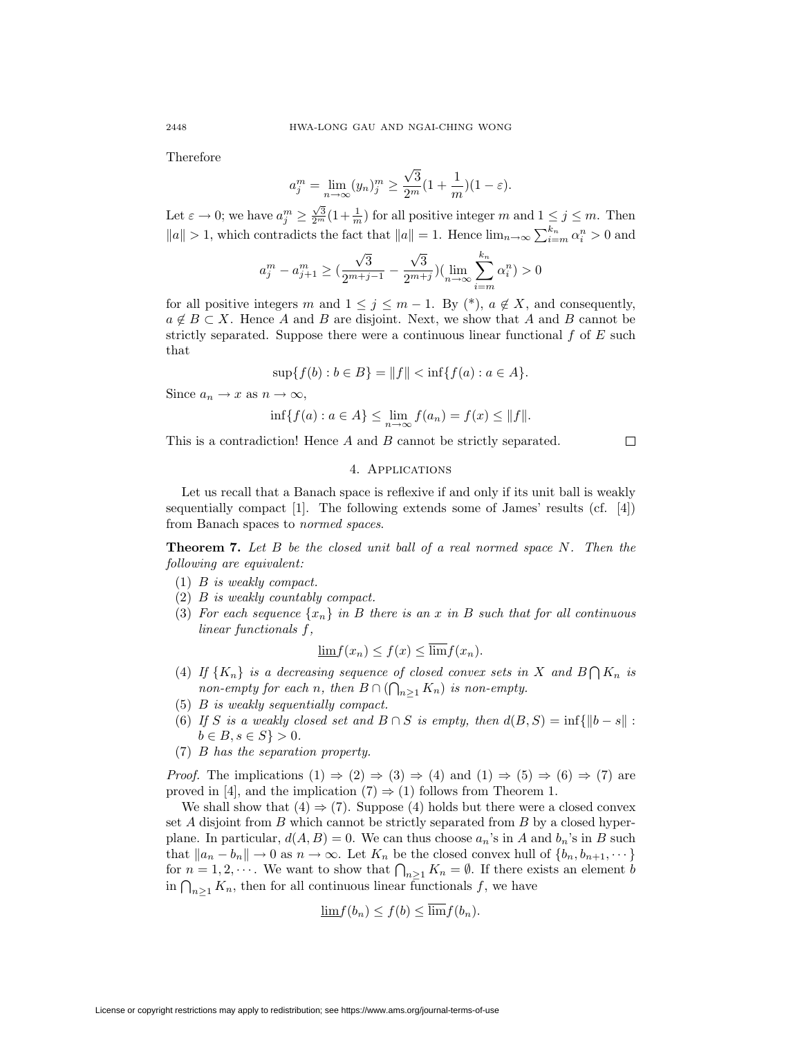Therefore

$$
a_j^m = \lim_{n \to \infty} (y_n)_j^m \ge \frac{\sqrt{3}}{2^m} (1 + \frac{1}{m}) (1 - \varepsilon).
$$

Let  $\varepsilon \to 0$ ; we have  $a_j^m \geq \frac{\sqrt{3}}{2^m} (1 + \frac{1}{m})$  for all positive integer m and  $1 \leq j \leq m$ . Then  $||a|| > 1$ , which contradicts the fact that  $||a|| = 1$ . Hence  $\lim_{n \to \infty} \sum_{i=m}^{k_n} \alpha_i^n > 0$  and

$$
a_j^m - a_{j+1}^m \geq (\frac{\sqrt{3}}{2^{m+j-1}} - \frac{\sqrt{3}}{2^{m+j}}) (\lim_{n\to\infty}\sum_{i=m}^{k_n}\alpha_i^n) > 0
$$

for all positive integers m and  $1 \leq j \leq m-1$ . By  $(*)$ ,  $a \notin X$ , and consequently,  $a \notin B \subset X$ . Hence A and B are disjoint. Next, we show that A and B cannot be strictly separated. Suppose there were a continuous linear functional  $f$  of  $E$  such that

$$
\sup\{f(b) : b \in B\} = ||f|| < \inf\{f(a) : a \in A\}.
$$

Since  $a_n \to x$  as  $n \to \infty$ ,

$$
\inf \{ f(a) : a \in A \} \le \lim_{n \to \infty} f(a_n) = f(x) \le ||f||.
$$

This is a contradiction! Hence A and B cannot be strictly separated.

 $\Box$ 

## 4. Applications

Let us recall that a Banach space is reflexive if and only if its unit ball is weakly sequentially compact [1]. The following extends some of James' results (cf. [4]) from Banach spaces to normed spaces.

**Theorem 7.** Let B be the closed unit ball of a real normed space N. Then the following are equivalent:

- (1) B is weakly compact.
- (2) B is weakly countably compact.
- (3) For each sequence  $\{x_n\}$  in B there is an x in B such that for all continuous linear functionals f,

$$
\underline{\lim} f(x_n) \le f(x) \le \overline{\lim} f(x_n).
$$

- (4) If  $\{K_n\}$  is a decreasing sequence of closed convex sets in X and  $B \bigcap K_n$  is non-empty for each n, then  $B \cap (\bigcap_{n \geq 1} K_n)$  is non-empty.
- (5) B is weakly sequentially compact.
- (6) If S is a weakly closed set and  $B \cap S$  is empty, then  $d(B, S) = \inf \{ ||b s|| :$  $b \in B, s \in S \} > 0.$
- (7) B has the separation property.

*Proof.* The implications  $(1) \Rightarrow (2) \Rightarrow (3) \Rightarrow (4)$  and  $(1) \Rightarrow (5) \Rightarrow (6) \Rightarrow (7)$  are proved in [4], and the implication  $(7) \Rightarrow (1)$  follows from Theorem 1.

We shall show that  $(4) \Rightarrow (7)$ . Suppose  $(4)$  holds but there were a closed convex set A disjoint from B which cannot be strictly separated from B by a closed hyperplane. In particular,  $d(A, B) = 0$ . We can thus choose  $a_n$ 's in A and  $b_n$ 's in B such that  $||a_n - b_n|| \to 0$  as  $n \to \infty$ . Let  $K_n$  be the closed convex hull of  $\{b_n, b_{n+1}, \dots\}$ for  $n = 1, 2, \dots$ . We want to show that  $\bigcap_{n \geq 1} K_n = \emptyset$ . If there exists an element b in  $\bigcap_{n\geq 1} K_n$ , then for all continuous linear functionals f, we have

$$
\underline{\lim} f(b_n) \le f(b) \le \underline{\lim} f(b_n).
$$